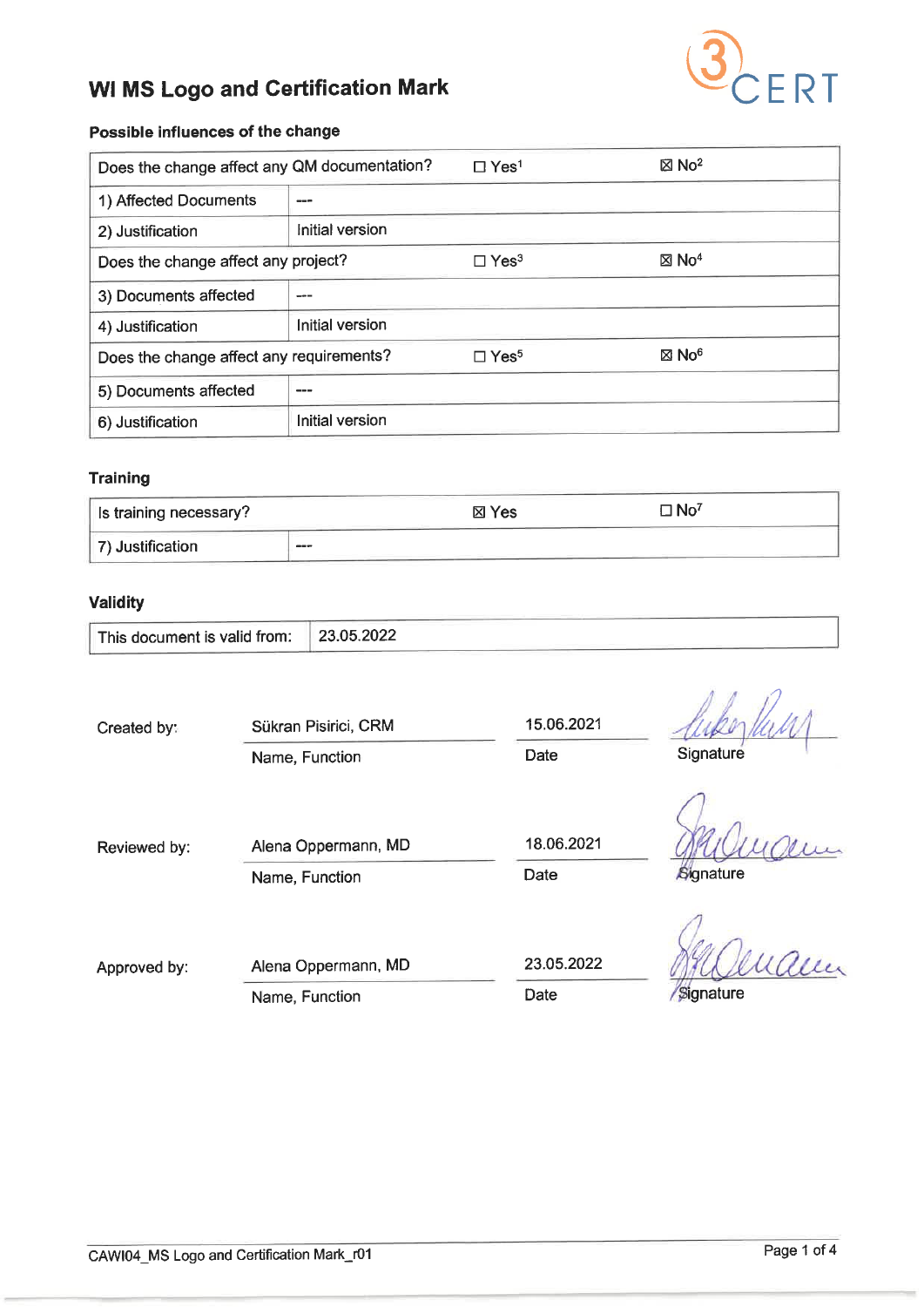

# Possible influences of the change

| Does the change affect any QM documentation? |                        | $\Box$ Yes <sup>1</sup> | $\boxtimes$ No <sup>2</sup> |  |
|----------------------------------------------|------------------------|-------------------------|-----------------------------|--|
| 1) Affected Documents                        | ---                    |                         |                             |  |
| 2) Justification                             | Initial version        |                         |                             |  |
| Does the change affect any project?          |                        | $\Box$ Yes <sup>3</sup> | $\boxtimes$ No <sup>4</sup> |  |
| 3) Documents affected                        |                        |                         |                             |  |
| 4) Justification                             | Initial version        |                         |                             |  |
| Does the change affect any requirements?     |                        | $\Box$ Yes <sup>5</sup> | $\boxtimes$ No <sup>6</sup> |  |
| 5) Documents affected                        |                        |                         |                             |  |
| 6) Justification                             | <b>Initial version</b> |                         |                             |  |

#### **Training**

| Is training necessary? |         | ⊠ Yes | $\Box$ No <sup>7</sup> |  |
|------------------------|---------|-------|------------------------|--|
| 7) Justification       | $- - -$ |       |                        |  |

## Validity

| This document is valid from: | 23.05.2022 |  |
|------------------------------|------------|--|
|------------------------------|------------|--|

| Created by:  | Sükran Pisirici, CRM<br>Name, Function | 15.06.2021<br>Date | Signature |
|--------------|----------------------------------------|--------------------|-----------|
| Reviewed by: | Alena Oppermann, MD<br>Name, Function  | 18.06.2021<br>Date | Signature |
| Approved by: | Alena Oppermann, MD<br>Name, Function  | 23.05.2022<br>Date | Signature |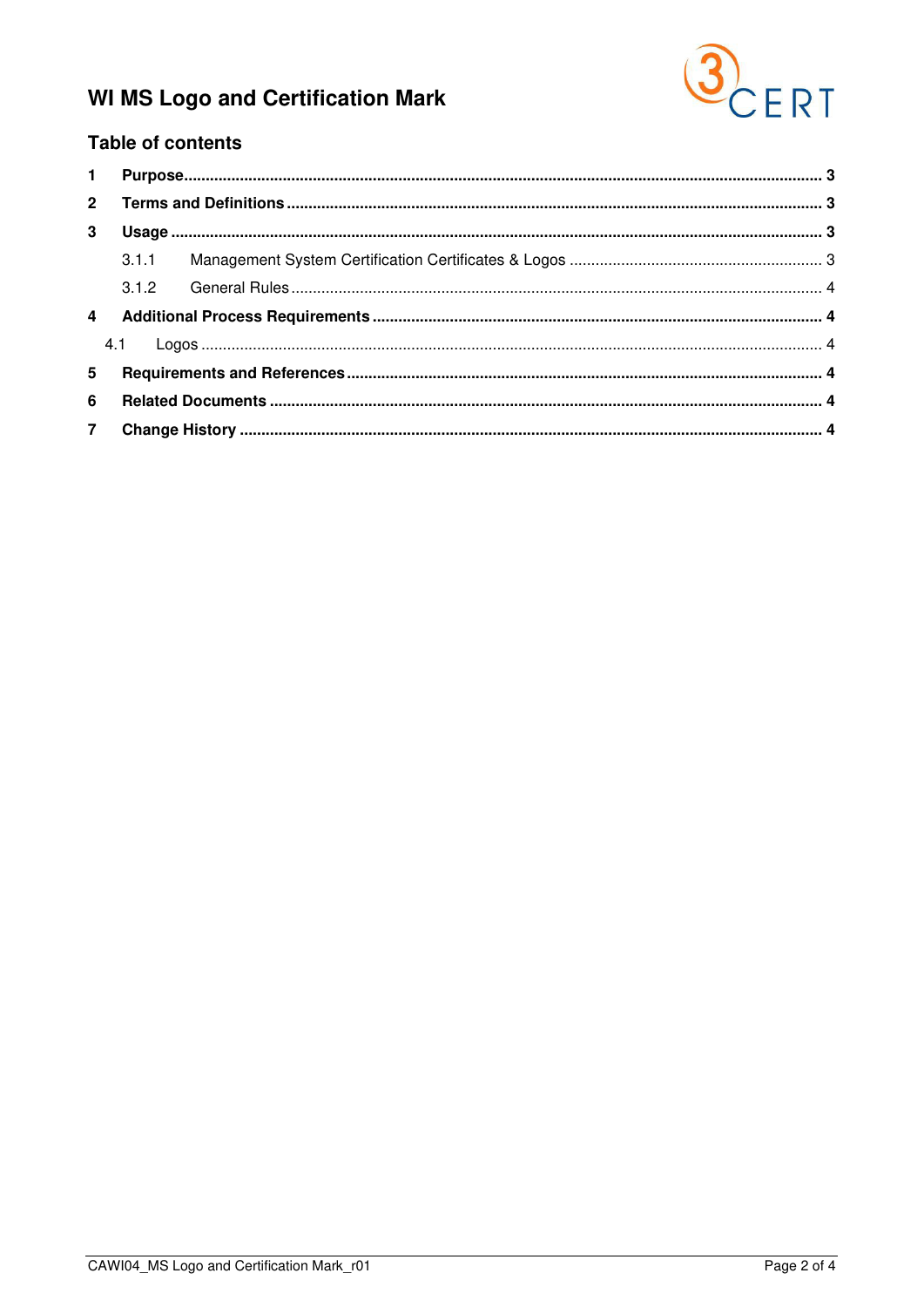

## **Table of contents**

| $2^{\circ}$    |       |  |  |  |
|----------------|-------|--|--|--|
| 3              |       |  |  |  |
|                | 3.1.1 |  |  |  |
|                |       |  |  |  |
|                |       |  |  |  |
|                |       |  |  |  |
| 5              |       |  |  |  |
| 6              |       |  |  |  |
| 7 <sup>7</sup> |       |  |  |  |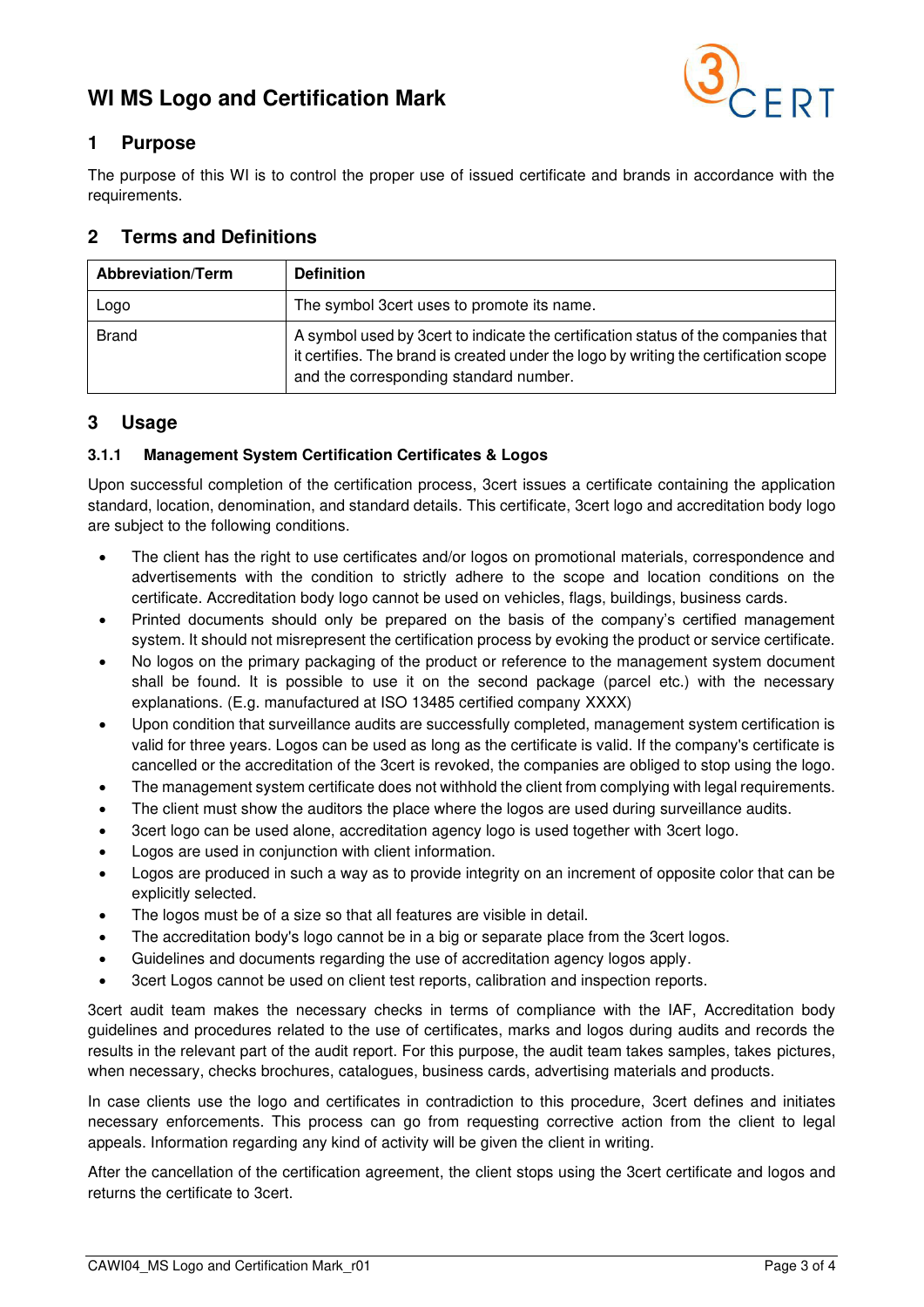

## <span id="page-2-0"></span>**1 Purpose**

The purpose of this WI is to control the proper use of issued certificate and brands in accordance with the requirements.

## <span id="page-2-1"></span>**2 Terms and Definitions**

| <b>Abbreviation/Term</b> | <b>Definition</b>                                                                                                                                                                                                   |
|--------------------------|---------------------------------------------------------------------------------------------------------------------------------------------------------------------------------------------------------------------|
| Logo                     | The symbol 3cert uses to promote its name.                                                                                                                                                                          |
| <b>Brand</b>             | A symbol used by 3cert to indicate the certification status of the companies that<br>it certifies. The brand is created under the logo by writing the certification scope<br>and the corresponding standard number. |

## <span id="page-2-2"></span>**3 Usage**

### <span id="page-2-3"></span>**3.1.1 Management System Certification Certificates & Logos**

Upon successful completion of the certification process, 3cert issues a certificate containing the application standard, location, denomination, and standard details. This certificate, 3cert logo and accreditation body logo are subject to the following conditions.

- The client has the right to use certificates and/or logos on promotional materials, correspondence and advertisements with the condition to strictly adhere to the scope and location conditions on the certificate. Accreditation body logo cannot be used on vehicles, flags, buildings, business cards.
- Printed documents should only be prepared on the basis of the company's certified management system. It should not misrepresent the certification process by evoking the product or service certificate.
- No logos on the primary packaging of the product or reference to the management system document shall be found. It is possible to use it on the second package (parcel etc.) with the necessary explanations. (E.g. manufactured at ISO 13485 certified company XXXX)
- Upon condition that surveillance audits are successfully completed, management system certification is valid for three years. Logos can be used as long as the certificate is valid. If the company's certificate is cancelled or the accreditation of the 3cert is revoked, the companies are obliged to stop using the logo.
- The management system certificate does not withhold the client from complying with legal requirements.
- The client must show the auditors the place where the logos are used during surveillance audits.
- 3cert logo can be used alone, accreditation agency logo is used together with 3cert logo.
- Logos are used in conjunction with client information.
- Logos are produced in such a way as to provide integrity on an increment of opposite color that can be explicitly selected.
- The logos must be of a size so that all features are visible in detail.
- The accreditation body's logo cannot be in a big or separate place from the 3cert logos.
- Guidelines and documents regarding the use of accreditation agency logos apply.
- 3cert Logos cannot be used on client test reports, calibration and inspection reports.

3cert audit team makes the necessary checks in terms of compliance with the IAF, Accreditation body guidelines and procedures related to the use of certificates, marks and logos during audits and records the results in the relevant part of the audit report. For this purpose, the audit team takes samples, takes pictures, when necessary, checks brochures, catalogues, business cards, advertising materials and products.

In case clients use the logo and certificates in contradiction to this procedure, 3cert defines and initiates necessary enforcements. This process can go from requesting corrective action from the client to legal appeals. Information regarding any kind of activity will be given the client in writing.

After the cancellation of the certification agreement, the client stops using the 3cert certificate and logos and returns the certificate to 3cert.